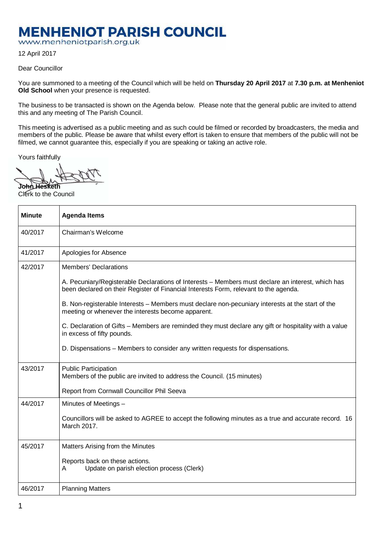## **MENHENIOT PARISH COUNCIL**

www.menheniotparish.org.uk

12 April 2017

Dear Councillor

You are summoned to a meeting of the Council which will be held on **Thursday 20 April 2017** at **7.30 p.m. at Menheniot Old School** when your presence is requested.

The business to be transacted is shown on the Agenda below. Please note that the general public are invited to attend this and any meeting of The Parish Council.

This meeting is advertised as a public meeting and as such could be filmed or recorded by broadcasters, the media and members of the public. Please be aware that whilst every effort is taken to ensure that members of the public will not be filmed, we cannot guarantee this, especially if you are speaking or taking an active role.

Yours faithfully

**John Hesketh**  Clerk to the Council

| <b>Minute</b> | <b>Agenda Items</b>                                                                                                                                                                       |
|---------------|-------------------------------------------------------------------------------------------------------------------------------------------------------------------------------------------|
| 40/2017       | Chairman's Welcome                                                                                                                                                                        |
| 41/2017       | Apologies for Absence                                                                                                                                                                     |
| 42/2017       | <b>Members' Declarations</b>                                                                                                                                                              |
|               | A. Pecuniary/Registerable Declarations of Interests - Members must declare an interest, which has<br>been declared on their Register of Financial Interests Form, relevant to the agenda. |
|               | B. Non-registerable Interests - Members must declare non-pecuniary interests at the start of the<br>meeting or whenever the interests become apparent.                                    |
|               | C. Declaration of Gifts – Members are reminded they must declare any gift or hospitality with a value<br>in excess of fifty pounds.                                                       |
|               | D. Dispensations - Members to consider any written requests for dispensations.                                                                                                            |
| 43/2017       | <b>Public Participation</b><br>Members of the public are invited to address the Council. (15 minutes)                                                                                     |
|               | Report from Cornwall Councillor Phil Seeva                                                                                                                                                |
| 44/2017       | Minutes of Meetings -                                                                                                                                                                     |
|               | Councillors will be asked to AGREE to accept the following minutes as a true and accurate record. 16<br>March 2017.                                                                       |
| 45/2017       | Matters Arising from the Minutes                                                                                                                                                          |
|               | Reports back on these actions.<br>Update on parish election process (Clerk)<br>Α                                                                                                          |
| 46/2017       | <b>Planning Matters</b>                                                                                                                                                                   |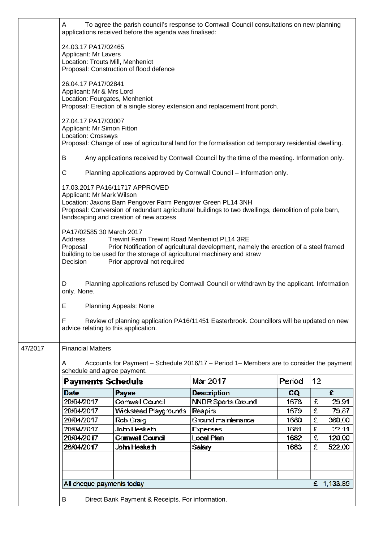|         | To agree the parish council's response to Cornwall Council consultations on new planning<br>A<br>applications received before the agenda was finalised:                                                                                                                                                                                                                                                                                                                                                                                                                                                                                                                      |                                                  |                                                                                         |        |    |        |  |  |  |  |
|---------|------------------------------------------------------------------------------------------------------------------------------------------------------------------------------------------------------------------------------------------------------------------------------------------------------------------------------------------------------------------------------------------------------------------------------------------------------------------------------------------------------------------------------------------------------------------------------------------------------------------------------------------------------------------------------|--------------------------------------------------|-----------------------------------------------------------------------------------------|--------|----|--------|--|--|--|--|
|         | 24.03.17 PA17/02465<br>Applicant: Mr Lavers<br>Location: Trouts Mill, Menheniot                                                                                                                                                                                                                                                                                                                                                                                                                                                                                                                                                                                              | Proposal: Construction of flood defence          |                                                                                         |        |    |        |  |  |  |  |
|         | 26.04.17 PA17/02841<br>Applicant: Mr & Mrs Lord<br>Location: Fourgates, Menheniot                                                                                                                                                                                                                                                                                                                                                                                                                                                                                                                                                                                            |                                                  | Proposal: Erection of a single storey extension and replacement front porch.            |        |    |        |  |  |  |  |
|         | 27.04.17 PA17/03007<br>Applicant: Mr Simon Fitton<br>Location: Crosswys<br>Proposal: Change of use of agricultural land for the formalisation od temporary residential dwelling.                                                                                                                                                                                                                                                                                                                                                                                                                                                                                             |                                                  |                                                                                         |        |    |        |  |  |  |  |
|         | В<br>Any applications received by Cornwall Council by the time of the meeting. Information only.                                                                                                                                                                                                                                                                                                                                                                                                                                                                                                                                                                             |                                                  |                                                                                         |        |    |        |  |  |  |  |
|         | C<br>Planning applications approved by Cornwall Council - Information only.<br>17.03.2017 PA16/11717 APPROVED<br>Applicant: Mr Mark Wilson<br>Location: Jaxons Barn Pengover Farm Pengover Green PL14 3NH<br>Proposal: Conversion of redundant agricultural buildings to two dwellings, demolition of pole barn,<br>landscaping and creation of new access<br>PA17/02585 30 March 2017<br>Trewint Farm Trewint Road Menheniot PL14 3RE<br>Address<br>Proposal<br>Prior Notification of agricultural development, namely the erection of a steel framed<br>building to be used for the storage of agricultural machinery and straw<br>Decision<br>Prior approval not required |                                                  |                                                                                         |        |    |        |  |  |  |  |
|         |                                                                                                                                                                                                                                                                                                                                                                                                                                                                                                                                                                                                                                                                              |                                                  |                                                                                         |        |    |        |  |  |  |  |
|         |                                                                                                                                                                                                                                                                                                                                                                                                                                                                                                                                                                                                                                                                              |                                                  |                                                                                         |        |    |        |  |  |  |  |
|         | Planning applications refused by Cornwall Council or withdrawn by the applicant. Information<br>D<br>only. None.                                                                                                                                                                                                                                                                                                                                                                                                                                                                                                                                                             |                                                  |                                                                                         |        |    |        |  |  |  |  |
|         | Е                                                                                                                                                                                                                                                                                                                                                                                                                                                                                                                                                                                                                                                                            | <b>Planning Appeals: None</b>                    |                                                                                         |        |    |        |  |  |  |  |
|         | F<br>Review of planning application PA16/11451 Easterbrook. Councillors will be updated on new<br>advice relating to this application.                                                                                                                                                                                                                                                                                                                                                                                                                                                                                                                                       |                                                  |                                                                                         |        |    |        |  |  |  |  |
| 47/2017 | <b>Financial Matters</b>                                                                                                                                                                                                                                                                                                                                                                                                                                                                                                                                                                                                                                                     |                                                  |                                                                                         |        |    |        |  |  |  |  |
|         | A<br>schedule and agree payment.                                                                                                                                                                                                                                                                                                                                                                                                                                                                                                                                                                                                                                             |                                                  | Accounts for Payment - Schedule 2016/17 - Period 1- Members are to consider the payment |        |    |        |  |  |  |  |
|         | <b>Payments Schedule</b>                                                                                                                                                                                                                                                                                                                                                                                                                                                                                                                                                                                                                                                     |                                                  | Mar 2017                                                                                | Period | 12 |        |  |  |  |  |
|         | <b>Date</b>                                                                                                                                                                                                                                                                                                                                                                                                                                                                                                                                                                                                                                                                  | Payee                                            | <b>Description</b>                                                                      | CQ     |    | £      |  |  |  |  |
|         | 20/04/2017                                                                                                                                                                                                                                                                                                                                                                                                                                                                                                                                                                                                                                                                   | Cornwall Council                                 | <b>NNDR Sports Ground</b>                                                               | 1678   | £  | 29.91  |  |  |  |  |
|         | 20/04/2017                                                                                                                                                                                                                                                                                                                                                                                                                                                                                                                                                                                                                                                                   | Wicksteed Playgrounds                            | Reapirs                                                                                 | 1679   | £  | 79.87  |  |  |  |  |
|         | 20/04/2017                                                                                                                                                                                                                                                                                                                                                                                                                                                                                                                                                                                                                                                                   | Rob Craig                                        | Ground maintenance                                                                      | 1680   | £  | 360.00 |  |  |  |  |
|         | 20/04/2017                                                                                                                                                                                                                                                                                                                                                                                                                                                                                                                                                                                                                                                                   | <b>John Hesketh</b>                              | Expenses                                                                                | 1681   | £  | 22.11  |  |  |  |  |
|         | 20/04/2017                                                                                                                                                                                                                                                                                                                                                                                                                                                                                                                                                                                                                                                                   | <b>Cornwall Council</b>                          | <b>Local Plan</b>                                                                       | 1682   | £  | 120.00 |  |  |  |  |
|         | 28/04/2017                                                                                                                                                                                                                                                                                                                                                                                                                                                                                                                                                                                                                                                                   | John Hesketh                                     | Salary                                                                                  | 1683   | £  | 522.00 |  |  |  |  |
|         |                                                                                                                                                                                                                                                                                                                                                                                                                                                                                                                                                                                                                                                                              |                                                  |                                                                                         |        |    |        |  |  |  |  |
|         |                                                                                                                                                                                                                                                                                                                                                                                                                                                                                                                                                                                                                                                                              |                                                  |                                                                                         |        |    |        |  |  |  |  |
|         | £ 1,133.89<br>All cheque payments today                                                                                                                                                                                                                                                                                                                                                                                                                                                                                                                                                                                                                                      |                                                  |                                                                                         |        |    |        |  |  |  |  |
|         | B                                                                                                                                                                                                                                                                                                                                                                                                                                                                                                                                                                                                                                                                            | Direct Bank Payment & Receipts. For information. |                                                                                         |        |    |        |  |  |  |  |